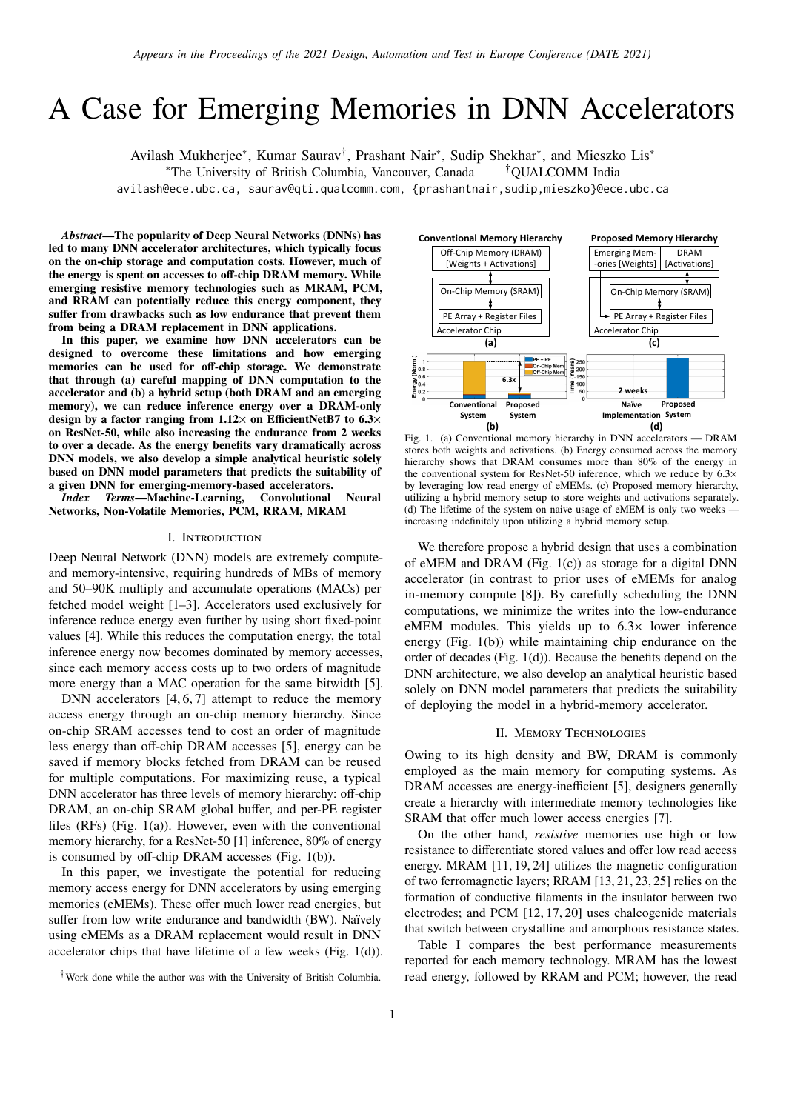# A Case for Emerging Memories in DNN Accelerators

Avilash Mukherjee<sup>∗</sup>, Kumar Saurav<sup>†</sup>, Prashant Nair<sup>∗</sup>, Sudip Shekhar<sup>∗</sup>, and Mieszko Lis<sup>∗</sup> <sup>∗</sup>The University of British Columbia, Vancouver, Canada †QUALCOMM India

avilash@ece.ubc.ca, saurav@qti.qualcomm.com, {prashantnair,sudip,mieszko}@ece.ubc.ca

*Abstract***—The popularity of Deep Neural Networks (DNNs) has led to many DNN accelerator architectures, which typically focus on the on-chip storage and computation costs. However, much of the energy is spent on accesses to off-chip DRAM memory. While emerging resistive memory technologies such as MRAM, PCM, and RRAM can potentially reduce this energy component, they suffer from drawbacks such as low endurance that prevent them from being a DRAM replacement in DNN applications.**

**In this paper, we examine how DNN accelerators can be designed to overcome these limitations and how emerging memories can be used for off-chip storage. We demonstrate that through (a) careful mapping of DNN computation to the accelerator and (b) a hybrid setup (both DRAM and an emerging memory), we can reduce inference energy over a DRAM-only design by a factor ranging from 1.12**× **on EfficientNetB7 to 6.3**× **on ResNet-50, while also increasing the endurance from 2 weeks to over a decade. As the energy benefits vary dramatically across DNN models, we also develop a simple analytical heuristic solely based on DNN model parameters that predicts the suitability of a given DNN for emerging-memory-based accelerators.**

*Index Terms***—Machine-Learning, Convolutional Neural Networks, Non-Volatile Memories, PCM, RRAM, MRAM**

#### I. Introduction

Deep Neural Network (DNN) models are extremely computeand memory-intensive, requiring hundreds of MBs of memory and 50–90K multiply and accumulate operations (MACs) per fetched model weight [1–3]. Accelerators used exclusively for inference reduce energy even further by using short fixed-point values [4]. While this reduces the computation energy, the total inference energy now becomes dominated by memory accesses, since each memory access costs up to two orders of magnitude more energy than a MAC operation for the same bitwidth [5].

DNN accelerators  $[4, 6, 7]$  attempt to reduce the memory access energy through an on-chip memory hierarchy. Since on-chip SRAM accesses tend to cost an order of magnitude less energy than off-chip DRAM accesses [5], energy can be saved if memory blocks fetched from DRAM can be reused for multiple computations. For maximizing reuse, a typical DNN accelerator has three levels of memory hierarchy: off-chip DRAM, an on-chip SRAM global buffer, and per-PE register files (RFs) (Fig. 1(a)). However, even with the conventional memory hierarchy, for a ResNet-50 [1] inference, 80% of energy is consumed by off-chip DRAM accesses (Fig. 1(b)).

In this paper, we investigate the potential for reducing memory access energy for DNN accelerators by using emerging memories (eMEMs). These offer much lower read energies, but suffer from low write endurance and bandwidth (BW). Naïvely using eMEMs as a DRAM replacement would result in DNN accelerator chips that have lifetime of a few weeks (Fig. 1(d)).



Fig. 1. (a) Conventional memory hierarchy in DNN accelerators — DRAM stores both weights and activations. (b) Energy consumed across the memory hierarchy shows that DRAM consumes more than 80% of the energy in the conventional system for ResNet-50 inference, which we reduce by  $6.3\times$ by leveraging low read energy of eMEMs. (c) Proposed memory hierarchy, utilizing a hybrid memory setup to store weights and activations separately. (d) The lifetime of the system on naive usage of eMEM is only two weeks increasing indefinitely upon utilizing a hybrid memory setup.

We therefore propose a hybrid design that uses a combination of eMEM and DRAM (Fig. 1(c)) as storage for a digital DNN accelerator (in contrast to prior uses of eMEMs for analog in-memory compute [8]). By carefully scheduling the DNN computations, we minimize the writes into the low-endurance eMEM modules. This yields up to 6.3× lower inference energy (Fig. 1(b)) while maintaining chip endurance on the order of decades (Fig. 1(d)). Because the benefits depend on the DNN architecture, we also develop an analytical heuristic based solely on DNN model parameters that predicts the suitability of deploying the model in a hybrid-memory accelerator.

## II. Memory Technologies

Owing to its high density and BW, DRAM is commonly employed as the main memory for computing systems. As DRAM accesses are energy-inefficient [5], designers generally create a hierarchy with intermediate memory technologies like SRAM that offer much lower access energies [7].

On the other hand, *resistive* memories use high or low resistance to differentiate stored values and offer low read access energy. MRAM [11, 19, 24] utilizes the magnetic configuration of two ferromagnetic layers; RRAM [13, 21, 23, 25] relies on the formation of conductive filaments in the insulator between two electrodes; and PCM [12, 17, 20] uses chalcogenide materials that switch between crystalline and amorphous resistance states.

Table I compares the best performance measurements reported for each memory technology. MRAM has the lowest read energy, followed by RRAM and PCM; however, the read

<sup>†</sup>Work done while the author was with the University of British Columbia.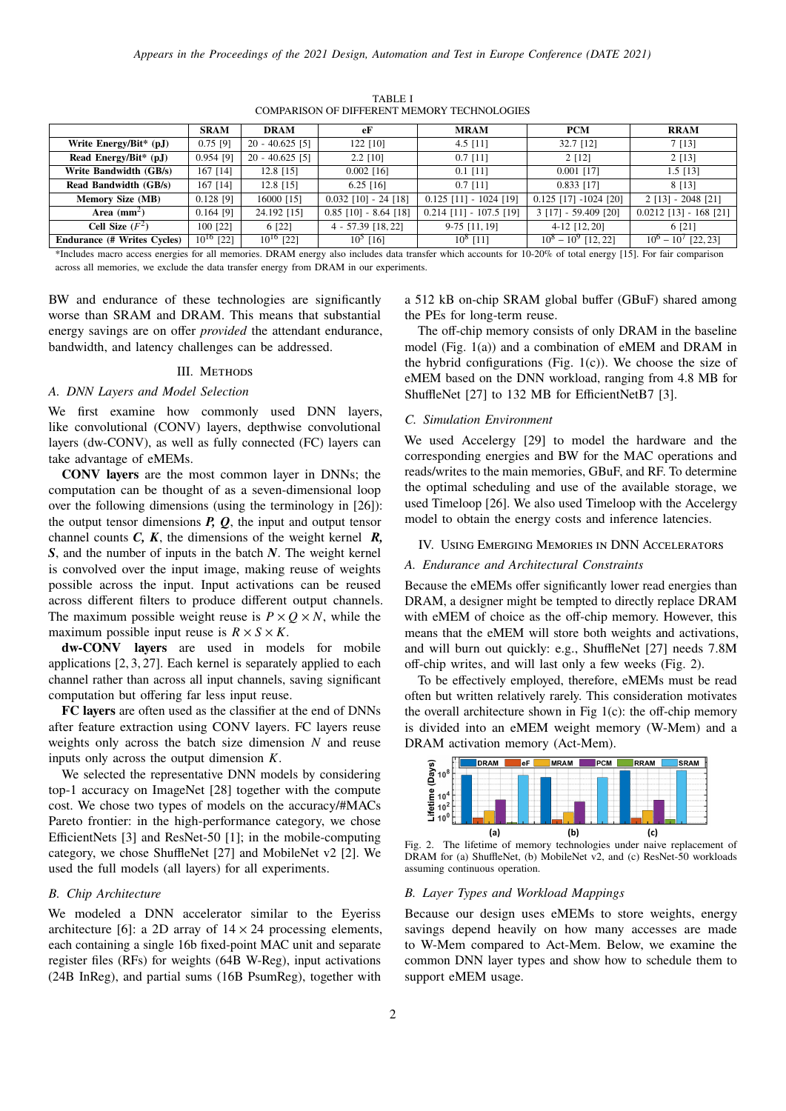|                                     | <b>SRAM</b>    | <b>DRAM</b>       | eF                      | <b>MRAM</b>               | <b>PCM</b>              | <b>RRAM</b>              |
|-------------------------------------|----------------|-------------------|-------------------------|---------------------------|-------------------------|--------------------------|
| Write Energy/Bit $*$ (pJ)           | $0.75$ [9]     | $20 - 40.625$ [5] | $122$ [10]              | 4.5 $[11]$                | $32.7$ [12]             | 7[13]                    |
| Read Energy/Bit <sup>*</sup> $(pJ)$ | $0.954$ [9]    | $20 - 40.625$ [5] | $2.2$ [10]              | $0.7$ [11]                | $2$ [12]                | $2$ [13]                 |
| Write Bandwidth (GB/s)              | $167$ [14]     | $12.8$ [15]       | $0.002$ [16]            | $0.1$ [11]                | $0.001$ [17]            | $1.5$ [13]               |
| Read Bandwidth (GB/s)               | $167$ [14]     | $12.8$ [15]       | $6.25$ [16]             | $0.7$ [11]                | $0.833$ [17]            | 8 [13]                   |
| <b>Memory Size (MB)</b>             | $0.128$ [9]    | 16000 [15]        | $0.032$ [10] - 24 [18]  | $0.125$ [11] - 1024 [19]  | $0.125$ [17] -1024 [20] | $2$ [13] - 2048 [21]     |
| Area $(mm^2)$                       | $0.164$ [9]    | 24.192 [15]       | $0.85$ [10] - 8.64 [18] | $0.214$ [11] - 107.5 [19] | $3$ [17] - 59.409 [20]  | $0.0212$ [13] - 168 [21] |
| Cell Size $(F^2)$                   | $100$ [22]     | 6 [22]            | $4 - 57.39$ [18, 22]    | $9-75$ [11, 19]           | $4-12$ [12, 20]         | 6 [21]                   |
| <b>Endurance (# Writes Cycles)</b>  | $10^{16}$ [22] | $10^{16}$ [22]    | $10^5$ [16]             | $10^8$ [11]               | $10^8 - 10^9$ [12, 22]  | $10^6 - 10^7$ [22, 23]   |

TABLE I COMPARISON OF DIFFERENT MEMORY TECHNOLOGIES

\*Includes macro access energies for all memories. DRAM energy also includes data transfer which accounts for 10-20% of total energy [15]. For fair comparison across all memories, we exclude the data transfer energy from DRAM in our experiments.

BW and endurance of these technologies are significantly worse than SRAM and DRAM. This means that substantial energy savings are on offer *provided* the attendant endurance, bandwidth, and latency challenges can be addressed.

# III. METHODS

#### *A. DNN Layers and Model Selection*

We first examine how commonly used DNN layers, like convolutional (CONV) layers, depthwise convolutional layers (dw-CONV), as well as fully connected (FC) layers can take advantage of eMEMs.

**CONV layers** are the most common layer in DNNs; the computation can be thought of as a seven-dimensional loop over the following dimensions (using the terminology in [26]): the output tensor dimensions *P, Q*, the input and output tensor channel counts *C, K*, the dimensions of the weight kernel *R, S*, and the number of inputs in the batch *N*. The weight kernel is convolved over the input image, making reuse of weights possible across the input. Input activations can be reused across different filters to produce different output channels. The maximum possible weight reuse is  $P \times Q \times N$ , while the maximum possible input reuse is  $R \times S \times K$ .

**dw-CONV layers** are used in models for mobile applications [2, 3, 27]. Each kernel is separately applied to each channel rather than across all input channels, saving significant computation but offering far less input reuse.

**FC layers** are often used as the classifier at the end of DNNs after feature extraction using CONV layers. FC layers reuse weights only across the batch size dimension  $N$  and reuse inputs only across the output dimension  $K$ .

We selected the representative DNN models by considering top-1 accuracy on ImageNet [28] together with the compute cost. We chose two types of models on the accuracy/#MACs Pareto frontier: in the high-performance category, we chose EfficientNets [3] and ResNet-50 [1]; in the mobile-computing category, we chose ShuffleNet [27] and MobileNet v2 [2]. We used the full models (all layers) for all experiments.

## *B. Chip Architecture*

We modeled a DNN accelerator similar to the Eyeriss architecture [6]: a 2D array of  $14 \times 24$  processing elements, each containing a single 16b fixed-point MAC unit and separate register files (RFs) for weights (64B W-Reg), input activations (24B InReg), and partial sums (16B PsumReg), together with a 512 kB on-chip SRAM global buffer (GBuF) shared among the PEs for long-term reuse.

The off-chip memory consists of only DRAM in the baseline model (Fig. 1(a)) and a combination of eMEM and DRAM in the hybrid configurations (Fig.  $1(c)$ ). We choose the size of eMEM based on the DNN workload, ranging from 4.8 MB for ShuffleNet [27] to 132 MB for EfficientNetB7 [3].

#### *C. Simulation Environment*

We used Accelergy [29] to model the hardware and the corresponding energies and BW for the MAC operations and reads/writes to the main memories, GBuF, and RF. To determine the optimal scheduling and use of the available storage, we used Timeloop [26]. We also used Timeloop with the Accelergy model to obtain the energy costs and inference latencies.

## IV. Using Emerging Memories in DNN Accelerators

#### *A. Endurance and Architectural Constraints*

Because the eMEMs offer significantly lower read energies than DRAM, a designer might be tempted to directly replace DRAM with eMEM of choice as the off-chip memory. However, this means that the eMEM will store both weights and activations, and will burn out quickly: e.g., ShuffleNet [27] needs 7.8M off-chip writes, and will last only a few weeks (Fig. 2).

To be effectively employed, therefore, eMEMs must be read often but written relatively rarely. This consideration motivates the overall architecture shown in Fig  $1(c)$ : the off-chip memory is divided into an eMEM weight memory (W-Mem) and a DRAM activation memory (Act-Mem).



Fig. 2. The lifetime of memory technologies under naive replacement of DRAM for (a) ShuffleNet, (b) MobileNet v2, and (c) ResNet-50 workloads assuming continuous operation.

# *B. Layer Types and Workload Mappings*

Because our design uses eMEMs to store weights, energy savings depend heavily on how many accesses are made to W-Mem compared to Act-Mem. Below, we examine the common DNN layer types and show how to schedule them to support eMEM usage.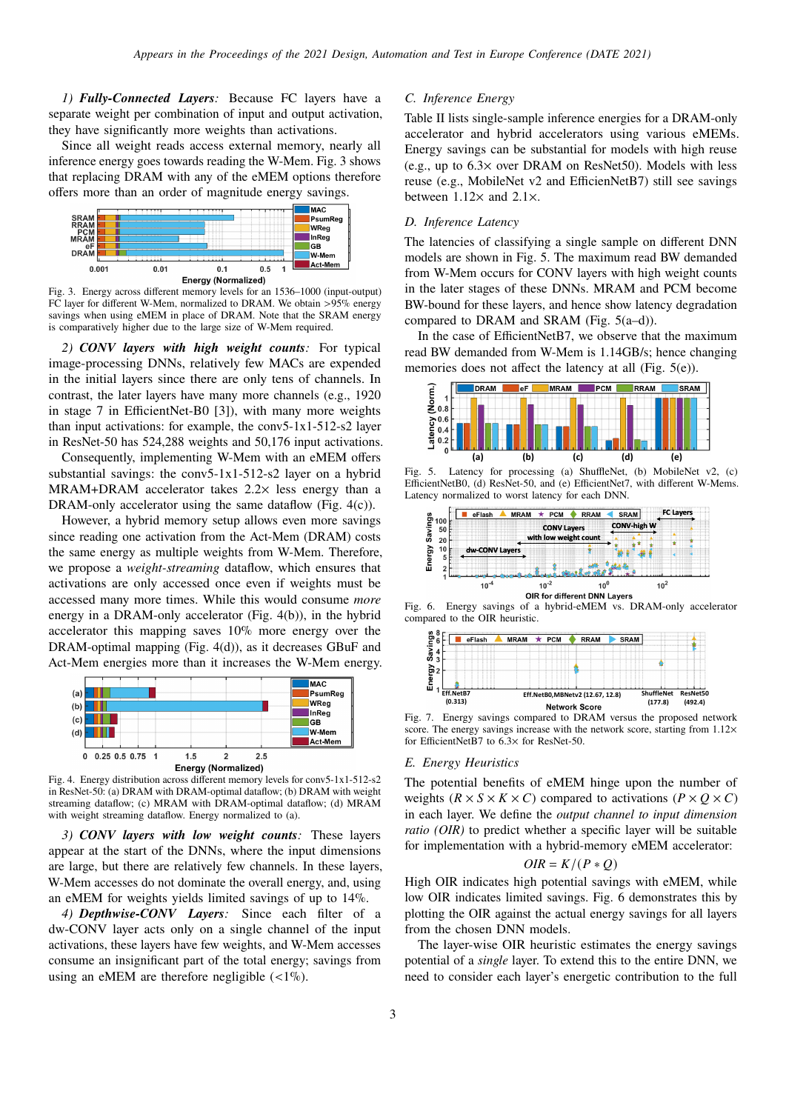*1) Fully-Connected Layers:* Because FC layers have a separate weight per combination of input and output activation, they have significantly more weights than activations.

Since all weight reads access external memory, nearly all inference energy goes towards reading the W-Mem. Fig. 3 shows that replacing DRAM with any of the eMEM options therefore offers more than an order of magnitude energy savings.



Fig. 3. Energy across different memory levels for an 1536–1000 (input-output) FC layer for different W-Mem, normalized to DRAM. We obtain >95% energy savings when using eMEM in place of DRAM. Note that the SRAM energy is comparatively higher due to the large size of W-Mem required.

*2) CONV layers with high weight counts:* For typical image-processing DNNs, relatively few MACs are expended in the initial layers since there are only tens of channels. In contrast, the later layers have many more channels (e.g., 1920 in stage 7 in EfficientNet-B0 [3]), with many more weights than input activations: for example, the conv5-1x1-512-s2 layer in ResNet-50 has 524,288 weights and 50,176 input activations.

Consequently, implementing W-Mem with an eMEM offers substantial savings: the conv5-1x1-512-s2 layer on a hybrid MRAM+DRAM accelerator takes 2.2× less energy than a DRAM-only accelerator using the same dataflow (Fig. 4(c)).

However, a hybrid memory setup allows even more savings since reading one activation from the Act-Mem (DRAM) costs the same energy as multiple weights from W-Mem. Therefore, we propose a *weight-streaming* dataflow, which ensures that activations are only accessed once even if weights must be accessed many more times. While this would consume *more* energy in a DRAM-only accelerator (Fig. 4(b)), in the hybrid accelerator this mapping saves 10% more energy over the DRAM-optimal mapping (Fig. 4(d)), as it decreases GBuF and Act-Mem energies more than it increases the W-Mem energy.



Fig. 4. Energy distribution across different memory levels for conv5-1x1-512-s2 in ResNet-50: (a) DRAM with DRAM-optimal dataflow; (b) DRAM with weight streaming dataflow; (c) MRAM with DRAM-optimal dataflow; (d) MRAM with weight streaming dataflow. Energy normalized to (a).

*3) CONV layers with low weight counts:* These layers appear at the start of the DNNs, where the input dimensions are large, but there are relatively few channels. In these layers, W-Mem accesses do not dominate the overall energy, and, using an eMEM for weights yields limited savings of up to 14%.

*4) Depthwise-CONV Layers:* Since each filter of a dw-CONV layer acts only on a single channel of the input activations, these layers have few weights, and W-Mem accesses consume an insignificant part of the total energy; savings from using an eMEM are therefore negligible  $\left($  <1%).

# *C. Inference Energy*

Table II lists single-sample inference energies for a DRAM-only accelerator and hybrid accelerators using various eMEMs. Energy savings can be substantial for models with high reuse (e.g., up to 6.3× over DRAM on ResNet50). Models with less reuse (e.g., MobileNet v2 and EfficienNetB7) still see savings between  $1.12\times$  and  $2.1\times$ .

# *D. Inference Latency*

The latencies of classifying a single sample on different DNN models are shown in Fig. 5. The maximum read BW demanded from W-Mem occurs for CONV layers with high weight counts in the later stages of these DNNs. MRAM and PCM become BW-bound for these layers, and hence show latency degradation compared to DRAM and SRAM (Fig. 5(a–d)).

In the case of EfficientNetB7, we observe that the maximum read BW demanded from W-Mem is 1.14GB/s; hence changing memories does not affect the latency at all (Fig. 5(e)).



Fig. 5. Latency for processing (a) ShuffleNet, (b) MobileNet v2, (c) EfficientNetB0, (d) ResNet-50, and (e) EfficientNet7, with different W-Mems. Latency normalized to worst latency for each DNN.



Fig. 6. Energy savings of a hybrid-eMEM vs. DRAM-only accelerator compared to the OIR heuristic.



Fig. 7. Energy savings compared to DRAM versus the proposed network score. The energy savings increase with the network score, starting from  $1.12 \times$ for EfficientNetB7 to 6.3× for ResNet-50.

# *E. Energy Heuristics*

The potential benefits of eMEM hinge upon the number of weights  $(R \times S \times K \times C)$  compared to activations  $(P \times Q \times C)$ in each layer. We define the *output channel to input dimension ratio (OIR)* to predict whether a specific layer will be suitable for implementation with a hybrid-memory eMEM accelerator:

$$
OIR = K/(P * Q)
$$

High OIR indicates high potential savings with eMEM, while low OIR indicates limited savings. Fig. 6 demonstrates this by plotting the OIR against the actual energy savings for all layers from the chosen DNN models.

The layer-wise OIR heuristic estimates the energy savings potential of a *single* layer. To extend this to the entire DNN, we need to consider each layer's energetic contribution to the full